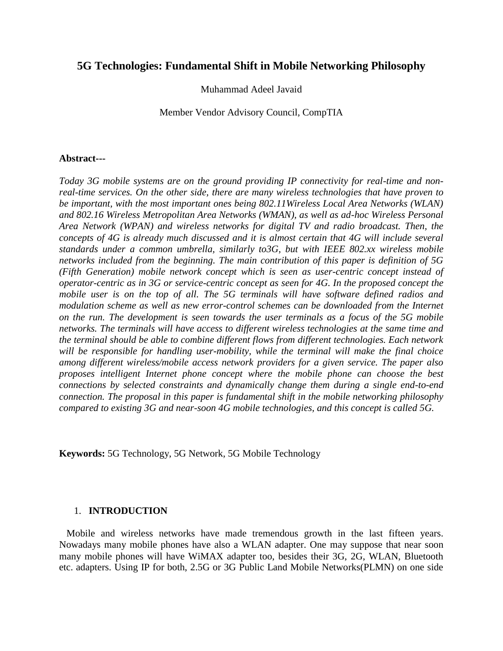# **5G Technologies: Fundamental Shift in Mobile Networking Philosophy**

Muhammad Adeel Javaid

Member Vendor Advisory Council, CompTIA

# **Abstract---**

*Today 3G mobile systems are on the ground providing IP connectivity for real-time and nonreal-time services. On the other side, there are many wireless technologies that have proven to be important, with the most important ones being 802.11Wireless Local Area Networks (WLAN) and 802.16 Wireless Metropolitan Area Networks (WMAN), as well as ad-hoc Wireless Personal Area Network (WPAN) and wireless networks for digital TV and radio broadcast. Then, the concepts of 4G is already much discussed and it is almost certain that 4G will include several standards under a common umbrella, similarly to3G, but with IEEE 802.xx wireless mobile networks included from the beginning. The main contribution of this paper is definition of 5G (Fifth Generation) mobile network concept which is seen as user-centric concept instead of operator-centric as in 3G or service-centric concept as seen for 4G. In the proposed concept the mobile user is on the top of all. The 5G terminals will have software defined radios and modulation scheme as well as new error-control schemes can be downloaded from the Internet on the run. The development is seen towards the user terminals as a focus of the 5G mobile networks. The terminals will have access to different wireless technologies at the same time and the terminal should be able to combine different flows from different technologies. Each network will be responsible for handling user-mobility, while the terminal will make the final choice among different wireless/mobile access network providers for a given service. The paper also proposes intelligent Internet phone concept where the mobile phone can choose the best connections by selected constraints and dynamically change them during a single end-to-end connection. The proposal in this paper is fundamental shift in the mobile networking philosophy compared to existing 3G and near-soon 4G mobile technologies, and this concept is called 5G.*

**Keywords:** 5G Technology, 5G Network, 5G Mobile Technology

# 1. **INTRODUCTION**

 Mobile and wireless networks have made tremendous growth in the last fifteen years. Nowadays many mobile phones have also a WLAN adapter. One may suppose that near soon many mobile phones will have WiMAX adapter too, besides their 3G, 2G, WLAN, Bluetooth etc. adapters. Using IP for both, 2.5G or 3G Public Land Mobile Networks(PLMN) on one side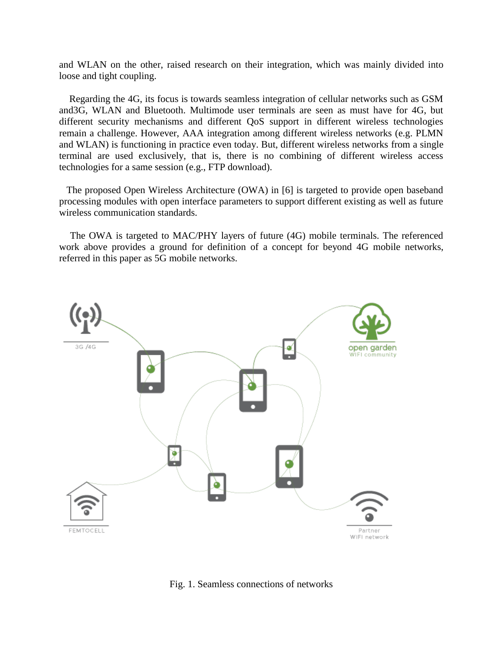and WLAN on the other, raised research on their integration, which was mainly divided into loose and tight coupling.

 Regarding the 4G, its focus is towards seamless integration of cellular networks such as GSM and3G, WLAN and Bluetooth. Multimode user terminals are seen as must have for 4G, but different security mechanisms and different QoS support in different wireless technologies remain a challenge. However, AAA integration among different wireless networks (e.g. PLMN and WLAN) is functioning in practice even today. But, different wireless networks from a single terminal are used exclusively, that is, there is no combining of different wireless access technologies for a same session (e.g., FTP download).

 The proposed Open Wireless Architecture (OWA) in [6] is targeted to provide open baseband processing modules with open interface parameters to support different existing as well as future wireless communication standards.

 The OWA is targeted to MAC/PHY layers of future (4G) mobile terminals. The referenced work above provides a ground for definition of a concept for beyond 4G mobile networks, referred in this paper as 5G mobile networks.



Fig. 1. Seamless connections of networks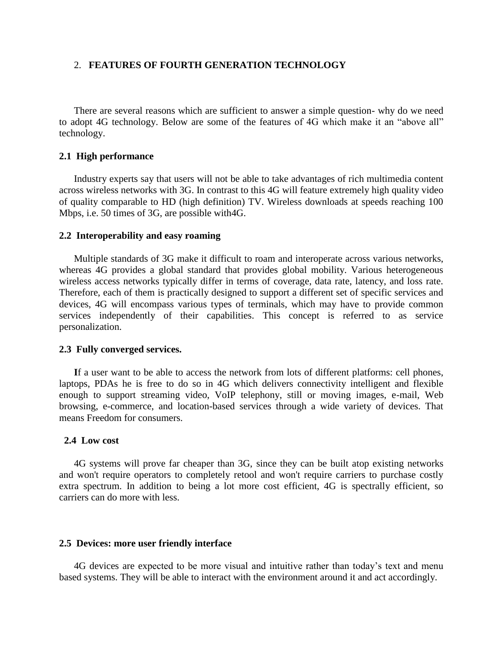# 2. **FEATURES OF FOURTH GENERATION TECHNOLOGY**

 There are several reasons which are sufficient to answer a simple question- why do we need to adopt 4G technology. Below are some of the features of 4G which make it an "above all" technology.

# **2.1 High performance**

 Industry experts say that users will not be able to take advantages of rich multimedia content across wireless networks with 3G. In contrast to this 4G will feature extremely high quality video of quality comparable to HD (high definition) TV. Wireless downloads at speeds reaching 100 Mbps, i.e. 50 times of 3G, are possible with4G.

#### **2.2 Interoperability and easy roaming**

 Multiple standards of 3G make it difficult to roam and interoperate across various networks, whereas 4G provides a global standard that provides global mobility. Various heterogeneous wireless access networks typically differ in terms of coverage, data rate, latency, and loss rate. Therefore, each of them is practically designed to support a different set of specific services and devices, 4G will encompass various types of terminals, which may have to provide common services independently of their capabilities. This concept is referred to as service personalization.

#### **2.3 Fully converged services.**

 **I**f a user want to be able to access the network from lots of different platforms: cell phones, laptops, PDAs he is free to do so in 4G which delivers connectivity intelligent and flexible enough to support streaming video, VoIP telephony, still or moving images, e-mail, Web browsing, e-commerce, and location-based services through a wide variety of devices. That means Freedom for consumers.

#### **2.4 Low cost**

 4G systems will prove far cheaper than 3G, since they can be built atop existing networks and won't require operators to completely retool and won't require carriers to purchase costly extra spectrum. In addition to being a lot more cost efficient, 4G is spectrally efficient, so carriers can do more with less.

#### **2.5 Devices: more user friendly interface**

 4G devices are expected to be more visual and intuitive rather than today's text and menu based systems. They will be able to interact with the environment around it and act accordingly.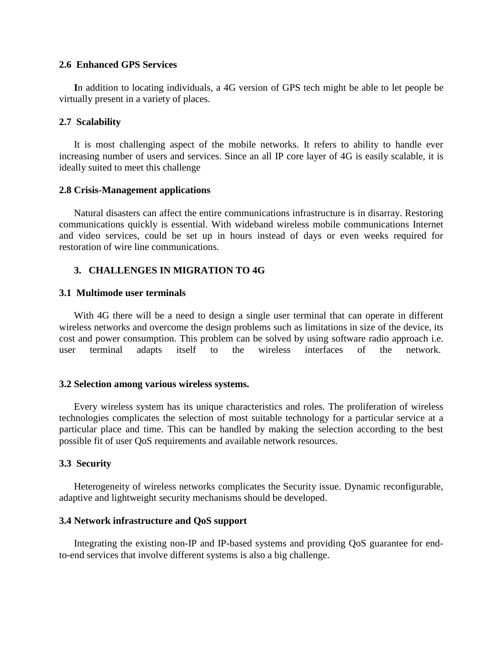### **2.6 Enhanced GPS Services**

 **I**n addition to locating individuals, a 4G version of GPS tech might be able to let people be virtually present in a variety of places.

# **2.7 Scalability**

 It is most challenging aspect of the mobile networks. It refers to ability to handle ever increasing number of users and services. Since an all IP core layer of 4G is easily scalable, it is ideally suited to meet this challenge

# **2.8 Crisis-Management applications**

 Natural disasters can affect the entire communications infrastructure is in disarray. Restoring communications quickly is essential. With wideband wireless mobile communications Internet and video services, could be set up in hours instead of days or even weeks required for restoration of wire line communications.

# **3. CHALLENGES IN MIGRATION TO 4G**

# **3.1 Multimode user terminals**

 With 4G there will be a need to design a single user terminal that can operate in different wireless networks and overcome the design problems such as limitations in size of the device, its cost and power consumption. This problem can be solved by using software radio approach i.e. user terminal adapts itself to the wireless interfaces of the network.

# **3.2 Selection among various wireless systems.**

 Every wireless system has its unique characteristics and roles. The proliferation of wireless technologies complicates the selection of most suitable technology for a particular service at a particular place and time. This can be handled by making the selection according to the best possible fit of user QoS requirements and available network resources.

# **3.3 Security**

 Heterogeneity of wireless networks complicates the Security issue. Dynamic reconfigurable, adaptive and lightweight security mechanisms should be developed.

# **3.4 Network infrastructure and QoS support**

 Integrating the existing non-IP and IP-based systems and providing QoS guarantee for endto-end services that involve different systems is also a big challenge.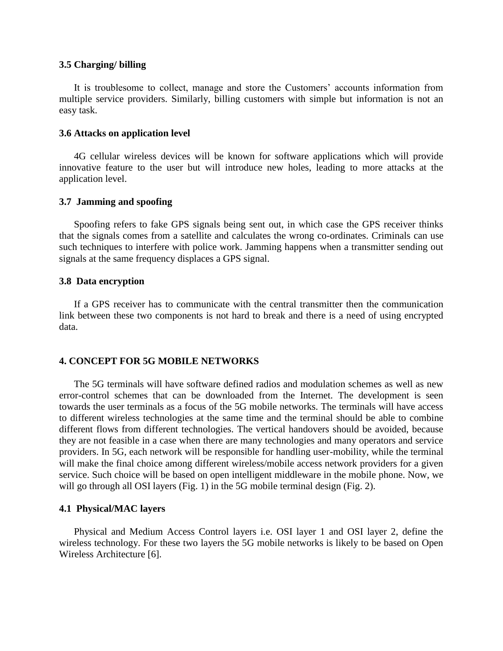### **3.5 Charging/ billing**

 It is troublesome to collect, manage and store the Customers' accounts information from multiple service providers. Similarly, billing customers with simple but information is not an easy task.

#### **3.6 Attacks on application level**

 4G cellular wireless devices will be known for software applications which will provide innovative feature to the user but will introduce new holes, leading to more attacks at the application level.

# **3.7 Jamming and spoofing**

 Spoofing refers to fake GPS signals being sent out, in which case the GPS receiver thinks that the signals comes from a satellite and calculates the wrong co-ordinates. Criminals can use such techniques to interfere with police work. Jamming happens when a transmitter sending out signals at the same frequency displaces a GPS signal.

# **3.8 Data encryption**

 If a GPS receiver has to communicate with the central transmitter then the communication link between these two components is not hard to break and there is a need of using encrypted data.

# **4. CONCEPT FOR 5G MOBILE NETWORKS**

 The 5G terminals will have software defined radios and modulation schemes as well as new error-control schemes that can be downloaded from the Internet. The development is seen towards the user terminals as a focus of the 5G mobile networks. The terminals will have access to different wireless technologies at the same time and the terminal should be able to combine different flows from different technologies. The vertical handovers should be avoided, because they are not feasible in a case when there are many technologies and many operators and service providers. In 5G, each network will be responsible for handling user-mobility, while the terminal will make the final choice among different wireless/mobile access network providers for a given service. Such choice will be based on open intelligent middleware in the mobile phone. Now, we will go through all OSI layers (Fig. 1) in the 5G mobile terminal design (Fig. 2).

#### **4.1 Physical/MAC layers**

 Physical and Medium Access Control layers i.e. OSI layer 1 and OSI layer 2, define the wireless technology. For these two layers the 5G mobile networks is likely to be based on Open Wireless Architecture [6].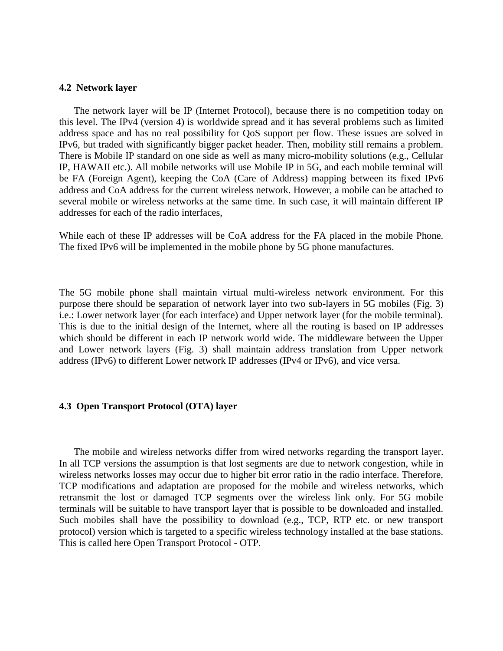#### **4.2 Network layer**

 The network layer will be IP (Internet Protocol), because there is no competition today on this level. The IPv4 (version 4) is worldwide spread and it has several problems such as limited address space and has no real possibility for QoS support per flow. These issues are solved in IPv6, but traded with significantly bigger packet header. Then, mobility still remains a problem. There is Mobile IP standard on one side as well as many micro-mobility solutions (e.g., Cellular IP, HAWAII etc.). All mobile networks will use Mobile IP in 5G, and each mobile terminal will be FA (Foreign Agent), keeping the CoA (Care of Address) mapping between its fixed IPv6 address and CoA address for the current wireless network. However, a mobile can be attached to several mobile or wireless networks at the same time. In such case, it will maintain different IP addresses for each of the radio interfaces,

While each of these IP addresses will be CoA address for the FA placed in the mobile Phone. The fixed IPv6 will be implemented in the mobile phone by 5G phone manufactures.

The 5G mobile phone shall maintain virtual multi-wireless network environment. For this purpose there should be separation of network layer into two sub-layers in 5G mobiles (Fig. 3) i.e.: Lower network layer (for each interface) and Upper network layer (for the mobile terminal). This is due to the initial design of the Internet, where all the routing is based on IP addresses which should be different in each IP network world wide. The middleware between the Upper and Lower network layers (Fig. 3) shall maintain address translation from Upper network address (IPv6) to different Lower network IP addresses (IPv4 or IPv6), and vice versa.

### **4.3 Open Transport Protocol (OTA) layer**

 The mobile and wireless networks differ from wired networks regarding the transport layer. In all TCP versions the assumption is that lost segments are due to network congestion, while in wireless networks losses may occur due to higher bit error ratio in the radio interface. Therefore, TCP modifications and adaptation are proposed for the mobile and wireless networks, which retransmit the lost or damaged TCP segments over the wireless link only. For 5G mobile terminals will be suitable to have transport layer that is possible to be downloaded and installed. Such mobiles shall have the possibility to download (e.g., TCP, RTP etc. or new transport protocol) version which is targeted to a specific wireless technology installed at the base stations. This is called here Open Transport Protocol - OTP.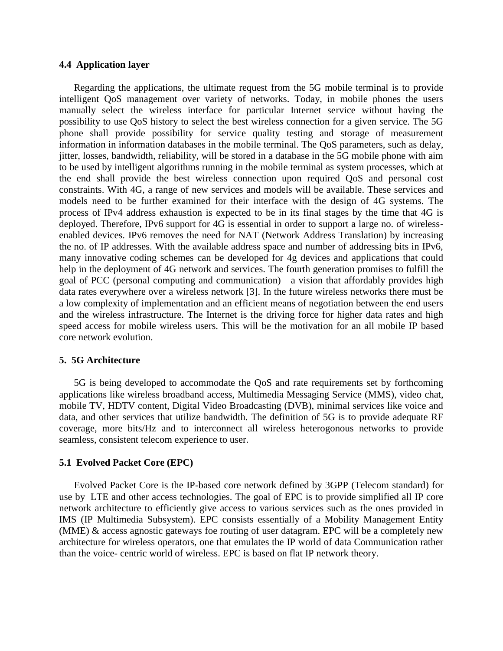# **4.4 Application layer**

 Regarding the applications, the ultimate request from the 5G mobile terminal is to provide intelligent QoS management over variety of networks. Today, in mobile phones the users manually select the wireless interface for particular Internet service without having the possibility to use QoS history to select the best wireless connection for a given service. The 5G phone shall provide possibility for service quality testing and storage of measurement information in information databases in the mobile terminal. The QoS parameters, such as delay, jitter, losses, bandwidth, reliability, will be stored in a database in the 5G mobile phone with aim to be used by intelligent algorithms running in the mobile terminal as system processes, which at the end shall provide the best wireless connection upon required QoS and personal cost constraints. With 4G, a range of new services and models will be available. These services and models need to be further examined for their interface with the design of 4G systems. The process of IPv4 address exhaustion is expected to be in its final stages by the time that 4G is deployed. Therefore, IPv6 support for 4G is essential in order to support a large no. of wirelessenabled devices. IPv6 removes the need for NAT (Network Address Translation) by increasing the no. of IP addresses. With the available address space and number of addressing bits in IPv6, many innovative coding schemes can be developed for 4g devices and applications that could help in the deployment of 4G network and services. The fourth generation promises to fulfill the goal of PCC (personal computing and communication)—a vision that affordably provides high data rates everywhere over a wireless network [3]. In the future wireless networks there must be a low complexity of implementation and an efficient means of negotiation between the end users and the wireless infrastructure. The Internet is the driving force for higher data rates and high speed access for mobile wireless users. This will be the motivation for an all mobile IP based core network evolution.

# **5. 5G Architecture**

 5G is being developed to accommodate the QoS and rate requirements set by forthcoming applications like wireless broadband access, Multimedia Messaging Service (MMS), video chat, mobile TV, HDTV content, Digital Video Broadcasting (DVB), minimal services like voice and data, and other services that utilize bandwidth. The definition of 5G is to provide adequate RF coverage, more bits/Hz and to interconnect all wireless heterogonous networks to provide seamless, consistent telecom experience to user.

#### **5.1 Evolved Packet Core (EPC)**

 Evolved Packet Core is the IP-based core network defined by 3GPP (Telecom standard) for use by LTE and other access technologies. The goal of EPC is to provide simplified all IP core network architecture to efficiently give access to various services such as the ones provided in IMS (IP Multimedia Subsystem). EPC consists essentially of a Mobility Management Entity (MME) & access agnostic gateways foe routing of user datagram. EPC will be a completely new architecture for wireless operators, one that emulates the IP world of data Communication rather than the voice- centric world of wireless. EPC is based on flat IP network theory.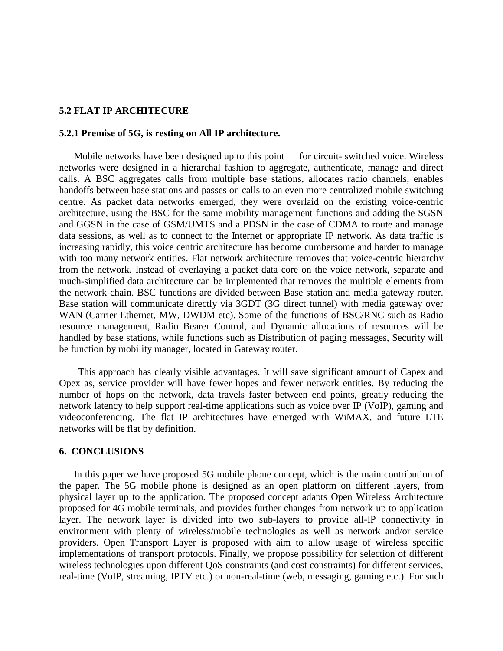#### **5.2 FLAT IP ARCHITECURE**

### **5.2.1 Premise of 5G, is resting on All IP architecture.**

 Mobile networks have been designed up to this point — for circuit- switched voice. Wireless networks were designed in a hierarchal fashion to aggregate, authenticate, manage and direct calls. A BSC aggregates calls from multiple base stations, allocates radio channels, enables handoffs between base stations and passes on calls to an even more centralized mobile switching centre. As packet data networks emerged, they were overlaid on the existing voice-centric architecture, using the BSC for the same mobility management functions and adding the SGSN and GGSN in the case of GSM/UMTS and a PDSN in the case of CDMA to route and manage data sessions, as well as to connect to the Internet or appropriate IP network. As data traffic is increasing rapidly, this voice centric architecture has become cumbersome and harder to manage with too many network entities. Flat network architecture removes that voice-centric hierarchy from the network. Instead of overlaying a packet data core on the voice network, separate and much-simplified data architecture can be implemented that removes the multiple elements from the network chain. BSC functions are divided between Base station and media gateway router. Base station will communicate directly via 3GDT (3G direct tunnel) with media gateway over WAN (Carrier Ethernet, MW, DWDM etc). Some of the functions of BSC/RNC such as Radio resource management, Radio Bearer Control, and Dynamic allocations of resources will be handled by base stations, while functions such as Distribution of paging messages, Security will be function by mobility manager, located in Gateway router.

 This approach has clearly visible advantages. It will save significant amount of Capex and Opex as, service provider will have fewer hopes and fewer network entities. By reducing the number of hops on the network, data travels faster between end points, greatly reducing the network latency to help support real-time applications such as voice over IP (VoIP), gaming and videoconferencing. The flat IP architectures have emerged with WiMAX, and future LTE networks will be flat by definition.

#### **6. CONCLUSIONS**

 In this paper we have proposed 5G mobile phone concept, which is the main contribution of the paper. The 5G mobile phone is designed as an open platform on different layers, from physical layer up to the application. The proposed concept adapts Open Wireless Architecture proposed for 4G mobile terminals, and provides further changes from network up to application layer. The network layer is divided into two sub-layers to provide all-IP connectivity in environment with plenty of wireless/mobile technologies as well as network and/or service providers. Open Transport Layer is proposed with aim to allow usage of wireless specific implementations of transport protocols. Finally, we propose possibility for selection of different wireless technologies upon different QoS constraints (and cost constraints) for different services, real-time (VoIP, streaming, IPTV etc.) or non-real-time (web, messaging, gaming etc.). For such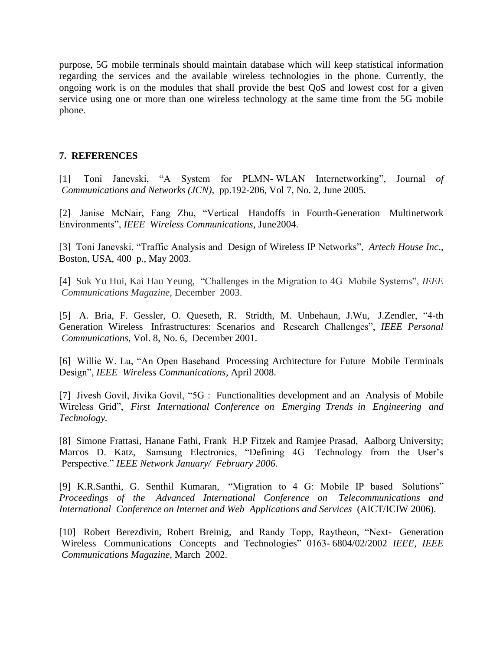purpose, 5G mobile terminals should maintain database which will keep statistical information regarding the services and the available wireless technologies in the phone. Currently, the ongoing work is on the modules that shall provide the best QoS and lowest cost for a given service using one or more than one wireless technology at the same time from the 5G mobile phone.

# **7. REFERENCES**

[1] Toni Janevski, "A System for PLMN- WLAN Internetworking", Journal *of Communications and Networks (JCN)*, pp.192-206, Vol 7, No. 2, June 2005.

[2] Janise McNair, Fang Zhu, "Vertical Handoffs in Fourth-Generation Multinetwork Environments", *IEEE Wireless Communications*, June2004.

[3] Toni Janevski, "Traffic Analysis and Design of Wireless IP Networks", *Artech House Inc*., Boston, USA, 400 p., May 2003.

[4] Suk Yu Hui, Kai Hau Yeung, "Challenges in the Migration to 4G Mobile Systems", *IEEE Communications Magazine*, December 2003.

[5] A. Bria, F. Gessler, O. Queseth, R. Stridth, M. Unbehaun, J.Wu, J.Zendler, "4-th Generation Wireless Infrastructures: Scenarios and Research Challenges", *IEEE Personal Communications,* Vol. 8, No. 6, December 2001.

[6] Willie W. Lu, "An Open Baseband Processing Architecture for Future Mobile Terminals Design", *IEEE Wireless Communications*, April 2008.

[7] Jivesh Govil, Jivika Govil, "5G : Functionalities development and an Analysis of Mobile Wireless Grid", *First International Conference on Emerging Trends in Engineering and Technology.*

[8] Simone Frattasi, Hanane Fathi, Frank H.P Fitzek and Ramjee Prasad, Aalborg University; Marcos D. Katz, Samsung Electronics, "Defining 4G Technology from the User's Perspective." *IEEE Network January/ February 2006.*

[9] K.R.Santhi, G. Senthil Kumaran, "Migration to 4 G: Mobile IP based Solutions" *Proceedings of the Advanced International Conference on Telecommunications and International Conference on Internet and Web Applications and Services* (AICT/ICIW 2006).

[10] Robert Berezdivin, Robert Breinig, and Randy Topp, Raytheon, "Next- Generation Wireless Communications Concepts and Technologies" 0163- 6804/02/2002 *IEEE, IEEE Communications Magazine,* March 2002.